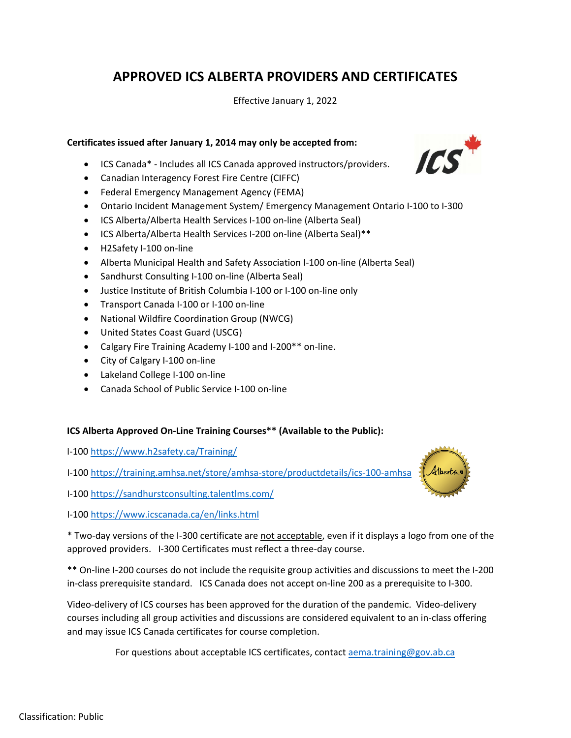# **APPROVED ICS ALBERTA PROVIDERS AND CERTIFICATES**

Effective January 1, 2022

#### **Certificates issued after January 1, 2014 may only be accepted from:**

- ICS Canada\* Includes all ICS Canada approved instructors/providers.
- Canadian Interagency Forest Fire Centre (CIFFC)
- Federal Emergency Management Agency (FEMA)
- Ontario Incident Management System/ Emergency Management Ontario I-100 to I-300
- ICS Alberta/Alberta Health Services I-100 on-line (Alberta Seal)
- ICS Alberta/Alberta Health Services I-200 on-line (Alberta Seal)\*\*
- H2Safety I-100 on-line
- Alberta Municipal Health and Safety Association I-100 on-line (Alberta Seal)
- Sandhurst Consulting I-100 on-line (Alberta Seal)
- Justice Institute of British Columbia I-100 or I-100 on-line only
- Transport Canada I-100 or I-100 on-line
- National Wildfire Coordination Group (NWCG)
- United States Coast Guard (USCG)
- Calgary Fire Training Academy I-100 and I-200\*\* on-line.
- City of Calgary I-100 on-line
- Lakeland College I-100 on-line
- Canada School of Public Service I-100 on-line

### **ICS Alberta Approved On-Line Training Courses\*\* (Available to the Public):**

I-100<https://www.h2safety.ca/Training/>

I-100<https://training.amhsa.net/store/amhsa-store/productdetails/ics-100-amhsa>

I-100<https://sandhurstconsulting.talentlms.com/>

I-100<https://www.icscanada.ca/en/links.html>

\* Two-day versions of the I-300 certificate are not acceptable, even if it displays a logo from one of the approved providers. I-300 Certificates must reflect a three-day course.

\*\* On-line I-200 courses do not include the requisite group activities and discussions to meet the I-200 in-class prerequisite standard. ICS Canada does not accept on-line 200 as a prerequisite to I-300.

Video-delivery of ICS courses has been approved for the duration of the pandemic. Video-delivery courses including all group activities and discussions are considered equivalent to an in-class offering and may issue ICS Canada certificates for course completion.

For questions about acceptable ICS certificates, contac[t aema.training@gov.ab.ca](mailto:aema.training@gov.ab.ca)